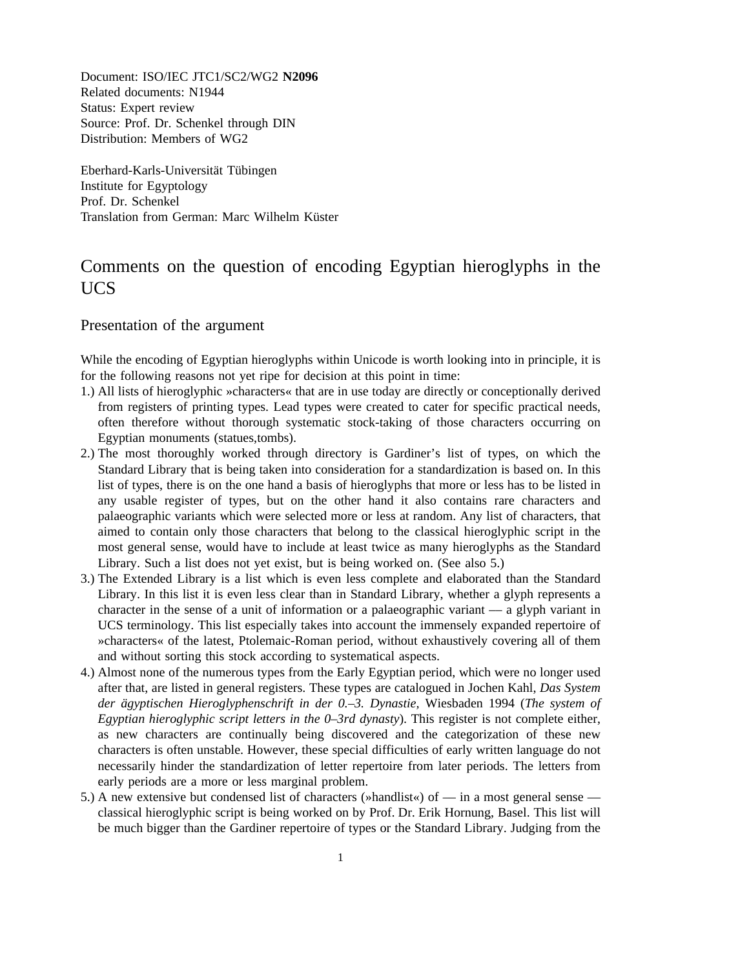Document: ISO/IEC JTC1/SC2/WG2 **N2096** Related documents: N1944 Status: Expert review Source: Prof. Dr. Schenkel through DIN Distribution: Members of WG2

Eberhard-Karls-Universität Tübingen Institute for Egyptology Prof. Dr. Schenkel Translation from German: Marc Wilhelm Küster

## Comments on the question of encoding Egyptian hieroglyphs in the UCS

Presentation of the argument

While the encoding of Egyptian hieroglyphs within Unicode is worth looking into in principle, it is for the following reasons not yet ripe for decision at this point in time:

- 1.) All lists of hieroglyphic »characters« that are in use today are directly or conceptionally derived from registers of printing types. Lead types were created to cater for specific practical needs, often therefore without thorough systematic stock-taking of those characters occurring on Egyptian monuments (statues,tombs).
- 2.) The most thoroughly worked through directory is Gardiner's list of types, on which the Standard Library that is being taken into consideration for a standardization is based on. In this list of types, there is on the one hand a basis of hieroglyphs that more or less has to be listed in any usable register of types, but on the other hand it also contains rare characters and palaeographic variants which were selected more or less at random. Any list of characters, that aimed to contain only those characters that belong to the classical hieroglyphic script in the most general sense, would have to include at least twice as many hieroglyphs as the Standard Library. Such a list does not yet exist, but is being worked on. (See also 5.)
- 3.) The Extended Library is a list which is even less complete and elaborated than the Standard Library. In this list it is even less clear than in Standard Library, whether a glyph represents a character in the sense of a unit of information or a palaeographic variant –– a glyph variant in UCS terminology. This list especially takes into account the immensely expanded repertoire of »characters« of the latest, Ptolemaic-Roman period, without exhaustively covering all of them and without sorting this stock according to systematical aspects.
- 4.) Almost none of the numerous types from the Early Egyptian period, which were no longer used after that, are listed in general registers. These types are catalogued in Jochen Kahl, *Das System der ägyptischen Hieroglyphenschrift in der 0.–3. Dynastie,* Wiesbaden 1994 (*The system of Egyptian hieroglyphic script letters in the 0–3rd dynasty*). This register is not complete either, as new characters are continually being discovered and the categorization of these new characters is often unstable. However, these special difficulties of early written language do not necessarily hinder the standardization of letter repertoire from later periods. The letters from early periods are a more or less marginal problem.
- 5.) A new extensive but condensed list of characters (»handlist«) of in a most general sense classical hieroglyphic script is being worked on by Prof. Dr. Erik Hornung, Basel. This list will be much bigger than the Gardiner repertoire of types or the Standard Library. Judging from the